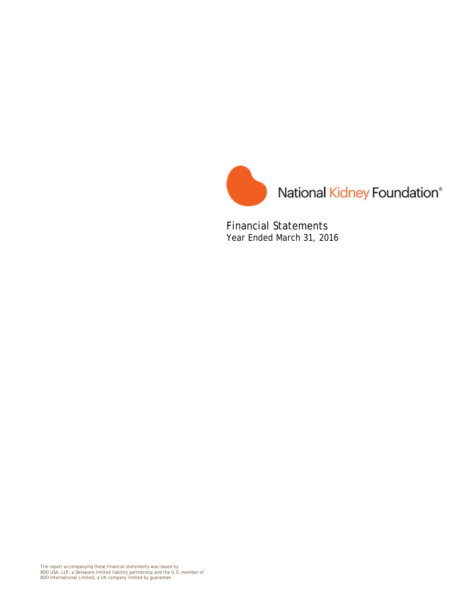

Financial Statements Year Ended March 31, 2016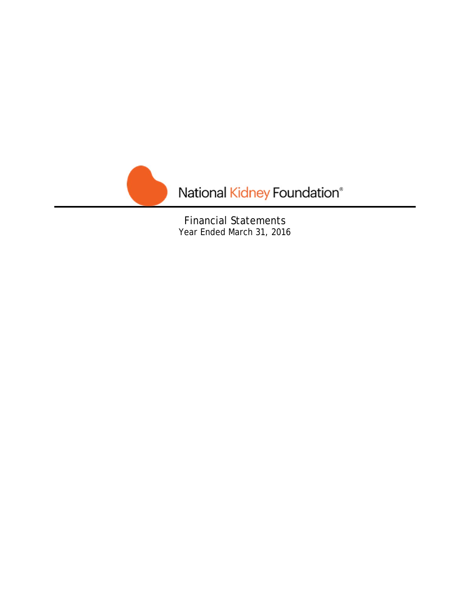

Financial Statements Year Ended March 31, 2016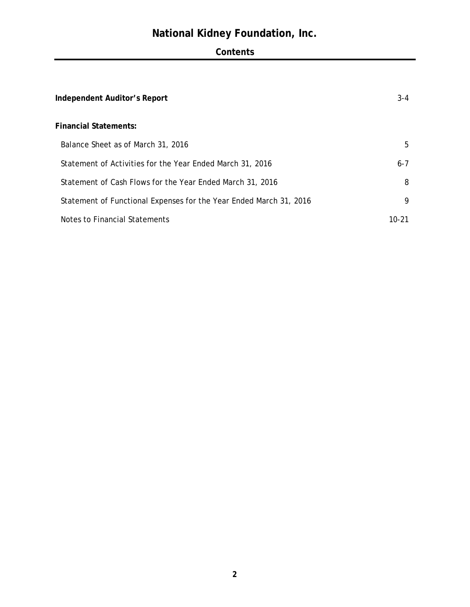# **Contents**

| Independent Auditor's Report                                       | $3 - 4$ |
|--------------------------------------------------------------------|---------|
| <b>Financial Statements:</b>                                       |         |
| Balance Sheet as of March 31, 2016                                 | 5       |
| Statement of Activities for the Year Ended March 31, 2016          | $6 - 7$ |
| Statement of Cash Flows for the Year Ended March 31, 2016          | 8       |
| Statement of Functional Expenses for the Year Ended March 31, 2016 | 9       |
| Notes to Financial Statements                                      | 10-21   |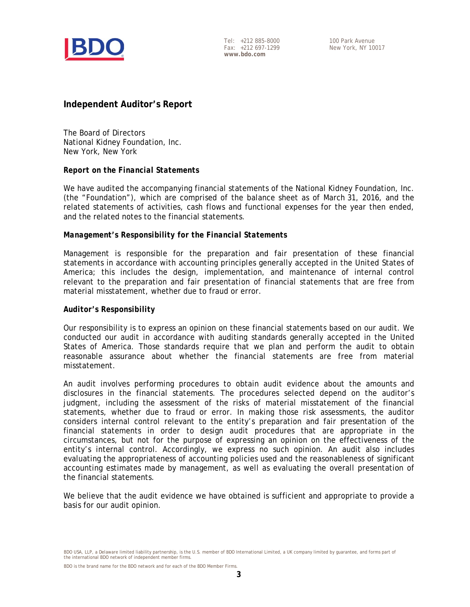

Tel: +212 885-8000 Fax: +212 697-1299 **www.bdo.com** 

100 Park Avenue New York, NY 10017

## **Independent Auditor's Report**

The Board of Directors National Kidney Foundation, Inc. New York, New York

#### *Report on the Financial Statements*

We have audited the accompanying financial statements of the National Kidney Foundation, Inc. (the "Foundation"), which are comprised of the balance sheet as of March 31, 2016, and the related statements of activities, cash flows and functional expenses for the year then ended, and the related notes to the financial statements.

#### *Management's Responsibility for the Financial Statements*

Management is responsible for the preparation and fair presentation of these financial statements in accordance with accounting principles generally accepted in the United States of America; this includes the design, implementation, and maintenance of internal control relevant to the preparation and fair presentation of financial statements that are free from material misstatement, whether due to fraud or error.

#### *Auditor's Responsibility*

Our responsibility is to express an opinion on these financial statements based on our audit. We conducted our audit in accordance with auditing standards generally accepted in the United States of America. Those standards require that we plan and perform the audit to obtain reasonable assurance about whether the financial statements are free from material misstatement.

An audit involves performing procedures to obtain audit evidence about the amounts and disclosures in the financial statements. The procedures selected depend on the auditor's judgment, including the assessment of the risks of material misstatement of the financial statements, whether due to fraud or error. In making those risk assessments, the auditor considers internal control relevant to the entity's preparation and fair presentation of the financial statements in order to design audit procedures that are appropriate in the circumstances, but not for the purpose of expressing an opinion on the effectiveness of the entity's internal control. Accordingly, we express no such opinion. An audit also includes evaluating the appropriateness of accounting policies used and the reasonableness of significant accounting estimates made by management, as well as evaluating the overall presentation of the financial statements.

We believe that the audit evidence we have obtained is sufficient and appropriate to provide a basis for our audit opinion.

BDO USA, LLP, a Delaware limited liability partnership, is the U.S. member of BDO International Limited, a UK company limited by guarantee, and forms part of the international BDO network of independent member firms.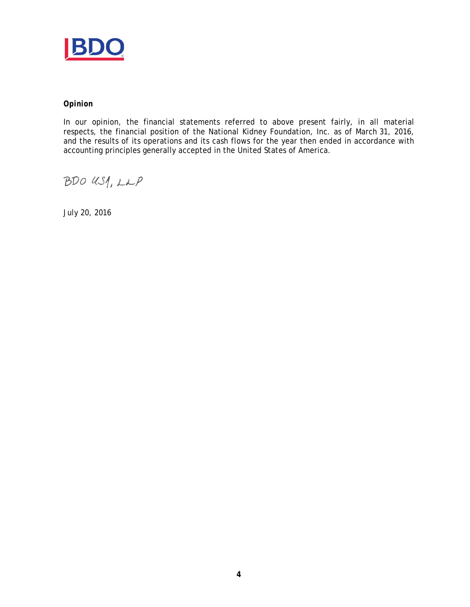

## *Opinion*

In our opinion, the financial statements referred to above present fairly, in all material respects, the financial position of the National Kidney Foundation, Inc. as of March 31, 2016, and the results of its operations and its cash flows for the year then ended in accordance with accounting principles generally accepted in the United States of America.

BDO USA, LLP

July 20, 2016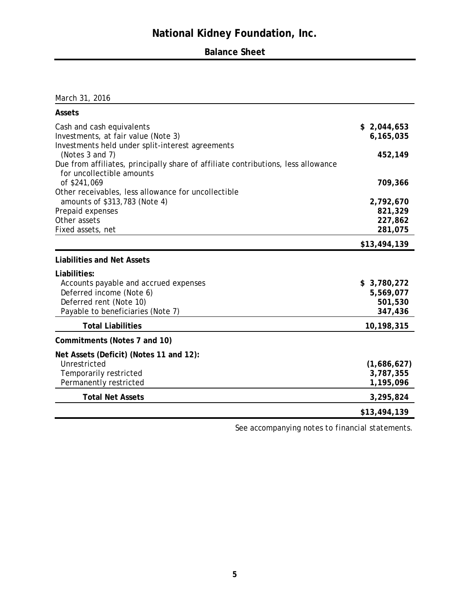# **Balance Sheet**

*March 31, 2016* 

| Assets                                                                                                                                            |                                                |
|---------------------------------------------------------------------------------------------------------------------------------------------------|------------------------------------------------|
| Cash and cash equivalents<br>Investments, at fair value (Note 3)<br>Investments held under split-interest agreements                              | \$2,044,653<br>6,165,035                       |
| (Notes 3 and 7)<br>Due from affiliates, principally share of affiliate contributions, less allowance<br>for uncollectible amounts                 | 452,149                                        |
| of \$241,069<br>Other receivables, less allowance for uncollectible                                                                               | 709,366                                        |
| amounts of \$313,783 (Note 4)                                                                                                                     | 2,792,670                                      |
| Prepaid expenses                                                                                                                                  | 821,329                                        |
| Other assets                                                                                                                                      | 227,862                                        |
| Fixed assets, net                                                                                                                                 | 281,075                                        |
|                                                                                                                                                   | \$13,494,139                                   |
| <b>Liabilities and Net Assets</b>                                                                                                                 |                                                |
| Liabilities:<br>Accounts payable and accrued expenses<br>Deferred income (Note 6)<br>Deferred rent (Note 10)<br>Payable to beneficiaries (Note 7) | \$3,780,272<br>5,569,077<br>501,530<br>347,436 |
| <b>Total Liabilities</b>                                                                                                                          | 10,198,315                                     |
| Commitments (Notes 7 and 10)                                                                                                                      |                                                |
| Net Assets (Deficit) (Notes 11 and 12):<br>Unrestricted<br>Temporarily restricted<br>Permanently restricted                                       | (1,686,627)<br>3,787,355<br>1,195,096          |
| <b>Total Net Assets</b>                                                                                                                           | 3,295,824                                      |
|                                                                                                                                                   | \$13,494,139                                   |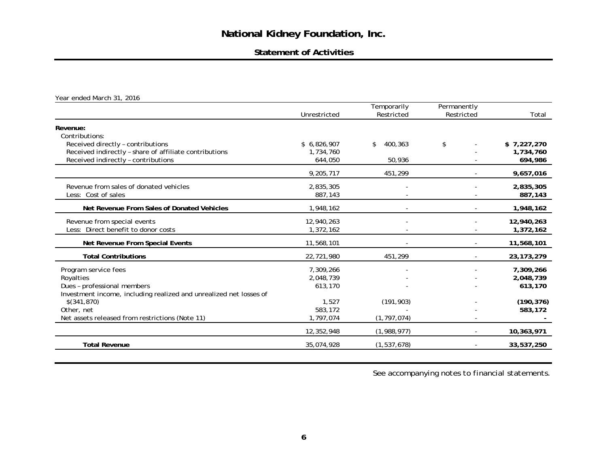#### **Statement of Activities**

*Year ended March 31, 2016* 

|                                                                    | Unrestricted | Temporarily<br>Restricted | Permanently<br>Restricted | Total        |
|--------------------------------------------------------------------|--------------|---------------------------|---------------------------|--------------|
| Revenue:                                                           |              |                           |                           |              |
| Contributions:                                                     |              |                           |                           |              |
| Received directly - contributions                                  | \$6,826,907  | 400,363                   | \$                        | \$7,227,270  |
| Received indirectly - share of affiliate contributions             | 1,734,760    |                           |                           | 1,734,760    |
| Received indirectly - contributions                                | 644,050      | 50,936                    |                           | 694,986      |
|                                                                    | 9,205,717    | 451,299                   |                           | 9,657,016    |
| Revenue from sales of donated vehicles                             | 2,835,305    |                           |                           | 2,835,305    |
| Less: Cost of sales                                                | 887,143      |                           |                           | 887,143      |
| Net Revenue From Sales of Donated Vehicles                         | 1,948,162    |                           |                           | 1,948,162    |
| Revenue from special events                                        | 12,940,263   |                           |                           | 12,940,263   |
| Less: Direct benefit to donor costs                                | 1,372,162    |                           |                           | 1,372,162    |
| Net Revenue From Special Events                                    | 11,568,101   |                           |                           | 11,568,101   |
| <b>Total Contributions</b>                                         | 22,721,980   | 451,299                   |                           | 23, 173, 279 |
| Program service fees                                               | 7,309,266    |                           |                           | 7,309,266    |
| Royalties                                                          | 2,048,739    |                           |                           | 2,048,739    |
| Dues - professional members                                        | 613,170      |                           |                           | 613,170      |
| Investment income, including realized and unrealized net losses of |              |                           |                           |              |
| \$(341, 870)                                                       | 1,527        | (191, 903)                |                           | (190, 376)   |
| Other, net                                                         | 583,172      |                           |                           | 583,172      |
| Net assets released from restrictions (Note 11)                    | 1,797,074    | (1, 797, 074)             |                           |              |
|                                                                    | 12,352,948   | (1,988,977)               |                           | 10,363,971   |
| <b>Total Revenue</b>                                               | 35,074,928   | (1, 537, 678)             | $\overline{\phantom{a}}$  | 33,537,250   |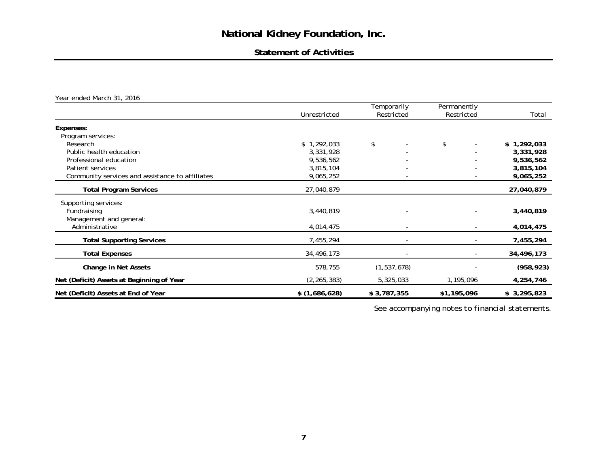#### **Statement of Activities**

*Year ended March 31, 2016* 

|                                                 |               | Temporarily   | Permanently              |             |  |
|-------------------------------------------------|---------------|---------------|--------------------------|-------------|--|
|                                                 | Unrestricted  | Restricted    | Restricted               | Total       |  |
| Expenses:                                       |               |               |                          |             |  |
| Program services:                               |               |               |                          |             |  |
| Research                                        | \$1,292,033   | \$            | \$<br>$\blacksquare$     | \$1,292,033 |  |
| Public health education                         | 3,331,928     |               |                          | 3,331,928   |  |
| Professional education                          | 9,536,562     |               |                          | 9,536,562   |  |
| Patient services                                | 3,815,104     |               |                          | 3,815,104   |  |
| Community services and assistance to affiliates | 9,065,252     |               | $\overline{\phantom{a}}$ | 9,065,252   |  |
| <b>Total Program Services</b>                   | 27,040,879    |               |                          | 27,040,879  |  |
| Supporting services:                            |               |               |                          |             |  |
| Fundraising                                     | 3,440,819     |               |                          | 3,440,819   |  |
| Management and general:                         |               |               |                          |             |  |
| Administrative                                  | 4,014,475     |               |                          | 4,014,475   |  |
| <b>Total Supporting Services</b>                | 7,455,294     |               |                          | 7,455,294   |  |
| <b>Total Expenses</b>                           | 34,496,173    |               |                          | 34,496,173  |  |
| Change in Net Assets                            | 578,755       | (1, 537, 678) |                          | (958, 923)  |  |
| Net (Deficit) Assets at Beginning of Year       | (2, 265, 383) | 5,325,033     | 1,195,096                | 4,254,746   |  |
| Net (Deficit) Assets at End of Year             | \$(1,686,628) | \$3,787,355   | \$1,195,096              | \$3,295,823 |  |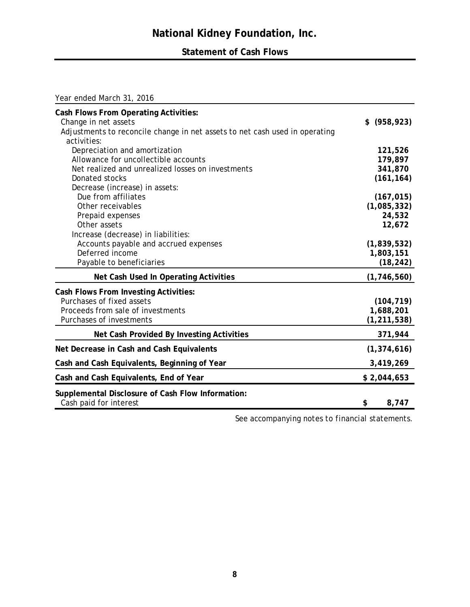**Statement of Cash Flows** 

# *Year ended March 31, 2016*

| <b>Cash Flows From Operating Activities:</b>                                |               |
|-----------------------------------------------------------------------------|---------------|
| Change in net assets                                                        | \$ (958, 923) |
| Adjustments to reconcile change in net assets to net cash used in operating |               |
| activities:                                                                 |               |
| Depreciation and amortization                                               | 121,526       |
| Allowance for uncollectible accounts                                        | 179,897       |
| Net realized and unrealized losses on investments                           | 341,870       |
| Donated stocks                                                              | (161, 164)    |
| Decrease (increase) in assets:                                              |               |
| Due from affiliates                                                         | (167, 015)    |
| Other receivables                                                           | (1,085,332)   |
| Prepaid expenses                                                            | 24,532        |
| Other assets                                                                | 12,672        |
| Increase (decrease) in liabilities:                                         |               |
| Accounts payable and accrued expenses                                       | (1,839,532)   |
| Deferred income                                                             | 1,803,151     |
| Payable to beneficiaries                                                    | (18, 242)     |
| Net Cash Used In Operating Activities                                       | (1,746,560)   |
| Cash Flows From Investing Activities:                                       |               |
| Purchases of fixed assets                                                   | (104, 719)    |
| Proceeds from sale of investments                                           | 1,688,201     |
| Purchases of investments                                                    | (1, 211, 538) |
|                                                                             |               |
| Net Cash Provided By Investing Activities                                   | 371,944       |
| Net Decrease in Cash and Cash Equivalents                                   | (1, 374, 616) |
| Cash and Cash Equivalents, Beginning of Year                                | 3,419,269     |
| Cash and Cash Equivalents, End of Year                                      | \$2,044,653   |
| Supplemental Disclosure of Cash Flow Information:                           |               |
| Cash paid for interest                                                      | \$<br>8,747   |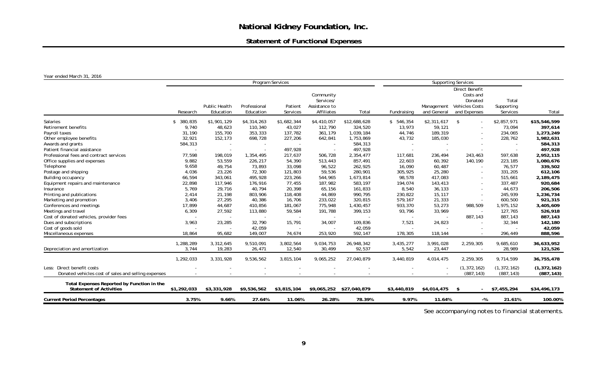*Year ended March 31, 2016* 

|                                                                                   | <b>Program Services</b> |                            |                           |                     | <b>Supporting Services</b>                            |                          |                          |                           |                                                                                 |                                 |                             |
|-----------------------------------------------------------------------------------|-------------------------|----------------------------|---------------------------|---------------------|-------------------------------------------------------|--------------------------|--------------------------|---------------------------|---------------------------------------------------------------------------------|---------------------------------|-----------------------------|
|                                                                                   | Research                | Public Health<br>Education | Professional<br>Education | Patient<br>Services | Community<br>Services/<br>Assistance to<br>Affiliates | Total                    | Fundraising              | Management<br>and General | Direct Benefit<br>Costs and<br>Donated<br><b>Vehicles Costs</b><br>and Expenses | Total<br>Supporting<br>Services | Total                       |
|                                                                                   |                         |                            |                           |                     |                                                       |                          |                          |                           |                                                                                 |                                 |                             |
| Salaries                                                                          | \$ 380,835              | \$1,901,129                | \$4,314,263               | \$1,682,344         | \$4,410,057                                           | \$12,688,628             | \$546,354                | \$2,311,617               | \$                                                                              | \$2,857,971                     | \$15,546,599                |
| Retirement benefits                                                               | 9,740                   | 48,623                     | 110,340                   | 43,027              | 112,790                                               | 324,520                  | 13,973                   | 59,121                    |                                                                                 | 73,094                          | 397,614                     |
| Payroll taxes                                                                     | 31,190                  | 155,700                    | 353,333                   | 137,782             | 361,179                                               | 1,039,184                | 44,746                   | 189,319                   |                                                                                 | 234,065                         | 1,273,249                   |
| Other employee benefits                                                           | 32,921                  | 152,173                    | 698,728                   | 227,206             | 642,841                                               | 1,753,869                | 43,732                   | 185,030                   |                                                                                 | 228,762                         | 1,982,631                   |
| Awards and grants                                                                 | 584,313                 |                            |                           |                     |                                                       | 584,313                  | $\overline{\phantom{a}}$ |                           |                                                                                 |                                 | 584,313                     |
| Patient financial assistance                                                      |                         |                            |                           | 497,928             |                                                       | 497,928                  | $\sim$                   | $\overline{\phantom{a}}$  |                                                                                 |                                 | 497,928                     |
| Professional fees and contract services                                           | 77,598                  | 198,019                    | 1,354,495                 | 217,637             | 506,728                                               | 2,354,477                | 117,681                  | 236,494                   | 243,463                                                                         | 597,638                         | 2,952,115                   |
| Office supplies and expenses                                                      | 9,882                   | 53,559                     | 226,217                   | 54,390              | 513,443                                               | 857,491                  | 22,603                   | 60,392                    | 140,190                                                                         | 223,185                         | 1,080,676                   |
| Telephone                                                                         | 9,658                   | 49,754                     | 73,893                    | 33,098              | 96,522                                                | 262,925                  | 16,090                   | 60,487                    |                                                                                 | 76,577                          | 339,502                     |
| Postage and shipping                                                              | 4,036                   | 23,226                     | 72,300                    | 121,803             | 59,536                                                | 280,901                  | 305,925                  | 25,280                    | $\sim$                                                                          | 331,205                         | 612,106                     |
| Building occupancy                                                                | 66,594                  | 343,061                    | 495,928                   | 223,266             | 544,965                                               | 1,673,814                | 98,578                   | 417,083                   | $\sim$                                                                          | 515,661                         | 2,189,475                   |
| Equipment repairs and maintenance                                                 | 22,898                  | 117,946                    | 176,916                   | 77,455              | 187,982                                               | 583,197                  | 194,074                  | 143,413                   | $\sim$                                                                          | 337,487                         | 920,684                     |
| Insurance                                                                         | 5,769                   | 29,716                     | 40,794                    | 20,398              | 65,156                                                | 161,833                  | 8,540                    | 36,133                    | $\sim$                                                                          | 44,673                          | 206,506                     |
| Printing and publications                                                         | 2,414                   | 21,198                     | 803,906                   | 118,408             | 44,869                                                | 990,795                  | 230,822                  | 15,117                    |                                                                                 | 245,939                         | 1,236,734                   |
| Marketing and promotion                                                           | 3,406                   | 27,295                     | 40,386                    | 16,706              | 233,022                                               | 320,815                  | 579,167                  | 21,333                    |                                                                                 | 600,500                         | 921,315                     |
| Conferences and meetings                                                          | 17,899                  | 44,687                     | 410,856                   | 181,067             | 775,948                                               | 1,430,457                | 933,370                  | 53,273                    | 988,509                                                                         | 1,975,152                       | 3,405,609                   |
| Meetings and travel                                                               | 6,309                   | 27,592                     | 113,880                   | 59,584              | 191,788                                               | 399,153                  | 93,796                   | 33,969                    |                                                                                 | 127,765                         | 526,918                     |
| Cost of donated vehicles, provider fees                                           |                         |                            |                           |                     |                                                       |                          |                          |                           | 887,143                                                                         | 887,143                         | 887,143                     |
| Dues and subscriptions                                                            | 3,963                   | 23,285                     | 32,790                    | 15,791              | 34,007                                                | 109,836                  | 7,521                    | 24,823                    |                                                                                 | 32,344                          | 142,180                     |
| Cost of goods sold                                                                |                         |                            | 42,059                    |                     |                                                       | 42,059                   | $\sim$                   |                           |                                                                                 |                                 | 42,059                      |
| Miscellaneous expenses                                                            | 18,864                  | 95,682                     | 149,007                   | 74,674              | 253,920                                               | 592,147                  | 178,305                  | 118,144                   |                                                                                 | 296,449                         | 888,596                     |
| Depreciation and amortization                                                     | 1,288,289<br>3,744      | 3,312,645<br>19,283        | 9,510,091<br>26,471       | 3,802,564<br>12,540 | 9,034,753<br>30,499                                   | 26,948,342<br>92,537     | 3,435,277<br>5,542       | 3,991,028<br>23,447       | 2,259,305                                                                       | 9,685,610<br>28,989             | 36,633,952<br>121,526       |
|                                                                                   | 1,292,033               | 3,331,928                  | 9,536,562                 | 3,815,104           | 9,065,252                                             | 27,040,879               | 3,440,819                | 4,014,475                 | 2,259,305                                                                       | 9,714,599                       | 36,755,478                  |
| Less: Direct benefit costs<br>Donated vehicles cost of sales and selling expenses |                         |                            |                           |                     |                                                       |                          |                          |                           | (1, 372, 162)<br>(887, 143)                                                     | (1, 372, 162)<br>(887, 143)     | (1, 372, 162)<br>(887, 143) |
| Total Expenses Reported by Function in the<br><b>Statement of Activities</b>      | \$1,292,033             | \$3,331,928                | \$9,536,562               | \$3,815,104         |                                                       | \$9,065,252 \$27,040,879 | \$3,440,819              | \$4,014,475               | - \$<br>$\sim$                                                                  | \$7,455,294                     | \$34,496,173                |
| <b>Current Period Percentages</b>                                                 | 3.75%                   | 9.66%                      | 27.64%                    | 11.06%              | 26.28%                                                | 78.39%                   | 9.97%                    | 11.64%                    | $-$ %                                                                           | 21.61%                          | 100.00%                     |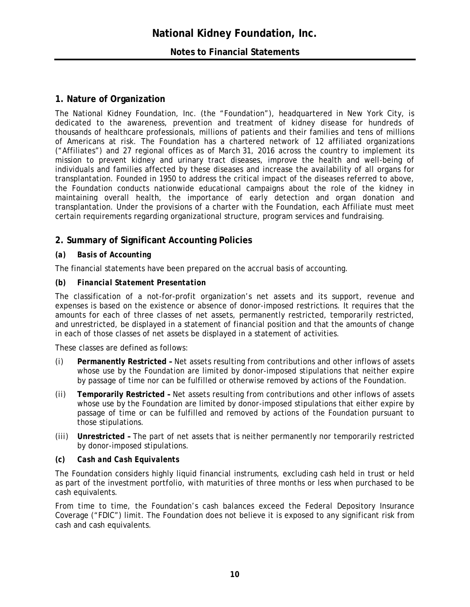# **1. Nature of Organization**

The National Kidney Foundation, Inc. (the "Foundation"), headquartered in New York City, is dedicated to the awareness, prevention and treatment of kidney disease for hundreds of thousands of healthcare professionals, millions of patients and their families and tens of millions of Americans at risk. The Foundation has a chartered network of 12 affiliated organizations ("Affiliates") and 27 regional offices as of March 31, 2016 across the country to implement its mission to prevent kidney and urinary tract diseases, improve the health and well-being of individuals and families affected by these diseases and increase the availability of all organs for transplantation. Founded in 1950 to address the critical impact of the diseases referred to above, the Foundation conducts nationwide educational campaigns about the role of the kidney in maintaining overall health, the importance of early detection and organ donation and transplantation. Under the provisions of a charter with the Foundation, each Affiliate must meet certain requirements regarding organizational structure, program services and fundraising.

# **2. Summary of Significant Accounting Policies**

#### *(a) Basis of Accounting*

The financial statements have been prepared on the accrual basis of accounting.

#### *(b) Financial Statement Presentation*

The classification of a not-for-profit organization's net assets and its support, revenue and expenses is based on the existence or absence of donor-imposed restrictions. It requires that the amounts for each of three classes of net assets, permanently restricted, temporarily restricted, and unrestricted, be displayed in a statement of financial position and that the amounts of change in each of those classes of net assets be displayed in a statement of activities.

These classes are defined as follows:

- *(i)* **Permanently Restricted –** Net assets resulting from contributions and other inflows of assets whose use by the Foundation are limited by donor-imposed stipulations that neither expire by passage of time nor can be fulfilled or otherwise removed by actions of the Foundation.
- *(ii)* **Temporarily Restricted –** Net assets resulting from contributions and other inflows of assets whose use by the Foundation are limited by donor-imposed stipulations that either expire by passage of time or can be fulfilled and removed by actions of the Foundation pursuant to those stipulations.
- *(iii)* **Unrestricted –** The part of net assets that is neither permanently nor temporarily restricted by donor-imposed stipulations.

#### *(c) Cash and Cash Equivalents*

The Foundation considers highly liquid financial instruments, excluding cash held in trust or held as part of the investment portfolio, with maturities of three months or less when purchased to be cash equivalents.

From time to time, the Foundation's cash balances exceed the Federal Depository Insurance Coverage ("FDIC") limit. The Foundation does not believe it is exposed to any significant risk from cash and cash equivalents.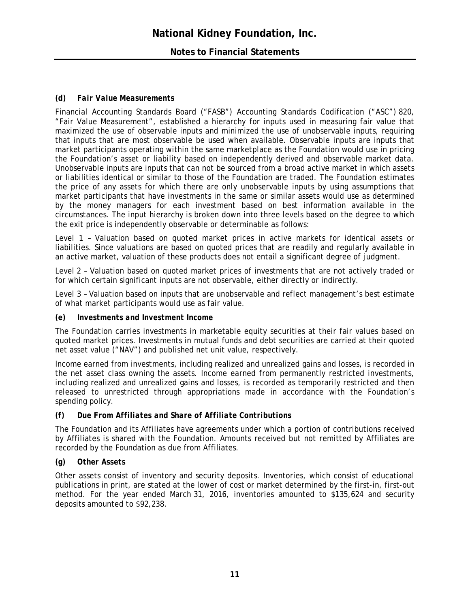# **Notes to Financial Statements**

#### *(d) Fair Value Measurements*

Financial Accounting Standards Board ("FASB") Accounting Standards Codification ("ASC") 820, "Fair Value Measurement", established a hierarchy for inputs used in measuring fair value that maximized the use of observable inputs and minimized the use of unobservable inputs, requiring that inputs that are most observable be used when available. Observable inputs are inputs that market participants operating within the same marketplace as the Foundation would use in pricing the Foundation's asset or liability based on independently derived and observable market data. Unobservable inputs are inputs that can not be sourced from a broad active market in which assets or liabilities identical or similar to those of the Foundation are traded. The Foundation estimates the price of any assets for which there are only unobservable inputs by using assumptions that market participants that have investments in the same or similar assets would use as determined by the money managers for each investment based on best information available in the circumstances. The input hierarchy is broken down into three levels based on the degree to which the exit price is independently observable or determinable as follows:

Level 1 – Valuation based on quoted market prices in active markets for identical assets or liabilities. Since valuations are based on quoted prices that are readily and regularly available in an active market, valuation of these products does not entail a significant degree of judgment.

Level 2 – Valuation based on quoted market prices of investments that are not actively traded or for which certain significant inputs are not observable, either directly or indirectly.

Level 3 – Valuation based on inputs that are unobservable and reflect management's best estimate of what market participants would use as fair value.

#### *(e) Investments and Investment Income*

The Foundation carries investments in marketable equity securities at their fair values based on quoted market prices. Investments in mutual funds and debt securities are carried at their quoted net asset value ("NAV") and published net unit value, respectively.

Income earned from investments, including realized and unrealized gains and losses, is recorded in the net asset class owning the assets. Income earned from permanently restricted investments, including realized and unrealized gains and losses, is recorded as temporarily restricted and then released to unrestricted through appropriations made in accordance with the Foundation's spending policy.

#### *(f) Due From Affiliates and Share of Affiliate Contributions*

The Foundation and its Affiliates have agreements under which a portion of contributions received by Affiliates is shared with the Foundation. Amounts received but not remitted by Affiliates are recorded by the Foundation as due from Affiliates.

#### *(g) Other Assets*

Other assets consist of inventory and security deposits. Inventories, which consist of educational publications in print, are stated at the lower of cost or market determined by the first-in, first-out method. For the year ended March 31, 2016, inventories amounted to \$135,624 and security deposits amounted to \$92,238.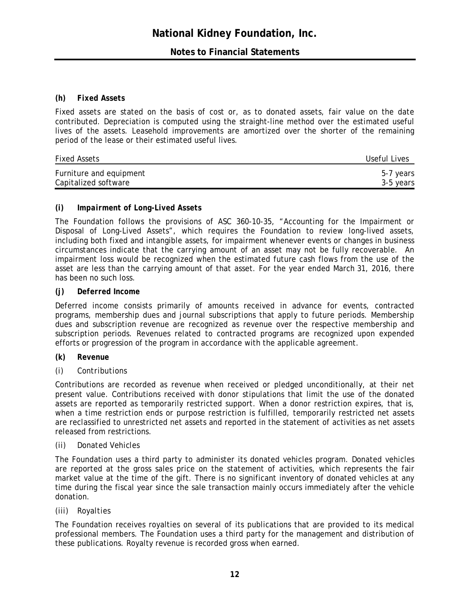#### *(h) Fixed Assets*

Fixed assets are stated on the basis of cost or, as to donated assets, fair value on the date contributed. Depreciation is computed using the straight-line method over the estimated useful lives of the assets. Leasehold improvements are amortized over the shorter of the remaining period of the lease or their estimated useful lives.

| <b>Fixed Assets</b>     | Useful Lives |
|-------------------------|--------------|
| Furniture and equipment | 5-7 years    |
| Capitalized software    | 3-5 years    |

#### *(i) Impairment of Long-Lived Assets*

The Foundation follows the provisions of ASC 360-10-35, "Accounting for the Impairment or Disposal of Long-Lived Assets", which requires the Foundation to review long-lived assets, including both fixed and intangible assets, for impairment whenever events or changes in business circumstances indicate that the carrying amount of an asset may not be fully recoverable. An impairment loss would be recognized when the estimated future cash flows from the use of the asset are less than the carrying amount of that asset. For the year ended March 31, 2016, there has been no such loss.

#### *(j) Deferred Income*

Deferred income consists primarily of amounts received in advance for events, contracted programs, membership dues and journal subscriptions that apply to future periods. Membership dues and subscription revenue are recognized as revenue over the respective membership and subscription periods. Revenues related to contracted programs are recognized upon expended efforts or progression of the program in accordance with the applicable agreement.

*(k) Revenue* 

#### *(i) Contributions*

Contributions are recorded as revenue when received or pledged unconditionally, at their net present value. Contributions received with donor stipulations that limit the use of the donated assets are reported as temporarily restricted support. When a donor restriction expires, that is, when a time restriction ends or purpose restriction is fulfilled, temporarily restricted net assets are reclassified to unrestricted net assets and reported in the statement of activities as net assets released from restrictions.

#### *(ii) Donated Vehicles*

The Foundation uses a third party to administer its donated vehicles program. Donated vehicles are reported at the gross sales price on the statement of activities, which represents the fair market value at the time of the gift. There is no significant inventory of donated vehicles at any time during the fiscal year since the sale transaction mainly occurs immediately after the vehicle donation.

#### *(iii) Royalties*

The Foundation receives royalties on several of its publications that are provided to its medical professional members. The Foundation uses a third party for the management and distribution of these publications. Royalty revenue is recorded gross when earned.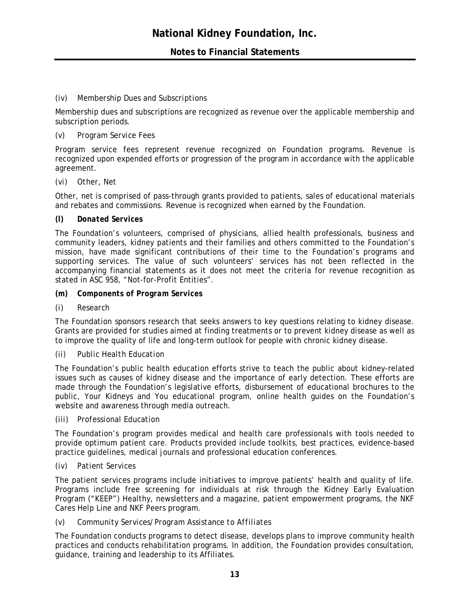## *(iv) Membership Dues and Subscriptions*

Membership dues and subscriptions are recognized as revenue over the applicable membership and subscription periods.

#### *(v) Program Service Fees*

Program service fees represent revenue recognized on Foundation programs. Revenue is recognized upon expended efforts or progression of the program in accordance with the applicable agreement.

#### *(vi) Other, Net*

Other, net is comprised of pass-through grants provided to patients, sales of educational materials and rebates and commissions. Revenue is recognized when earned by the Foundation.

#### *(l) Donated Services*

The Foundation's volunteers, comprised of physicians, allied health professionals, business and community leaders, kidney patients and their families and others committed to the Foundation's mission, have made significant contributions of their time to the Foundation's programs and supporting services. The value of such volunteers' services has not been reflected in the accompanying financial statements as it does not meet the criteria for revenue recognition as stated in ASC 958, "Not-for-Profit Entities".

- *(m) Components of Program Services*
- *(i) Research*

The Foundation sponsors research that seeks answers to key questions relating to kidney disease. Grants are provided for studies aimed at finding treatments or to prevent kidney disease as well as to improve the quality of life and long-term outlook for people with chronic kidney disease.

#### *(ii) Public Health Education*

The Foundation's public health education efforts strive to teach the public about kidney-related issues such as causes of kidney disease and the importance of early detection. These efforts are made through the Foundation's legislative efforts, disbursement of educational brochures to the public, Your Kidneys and You educational program, online health guides on the Foundation's website and awareness through media outreach.

#### *(iii) Professional Education*

The Foundation's program provides medical and health care professionals with tools needed to provide optimum patient care. Products provided include toolkits, best practices, evidence-based practice guidelines, medical journals and professional education conferences.

#### *(iv) Patient Services*

The patient services programs include initiatives to improve patients' health and quality of life. Programs include free screening for individuals at risk through the Kidney Early Evaluation Program ("KEEP") Healthy, newsletters and a magazine, patient empowerment programs, the NKF Cares Help Line and NKF Peers program.

#### *(v) Community Services/Program Assistance to Affiliates*

The Foundation conducts programs to detect disease, develops plans to improve community health practices and conducts rehabilitation programs. In addition, the Foundation provides consultation, guidance, training and leadership to its Affiliates.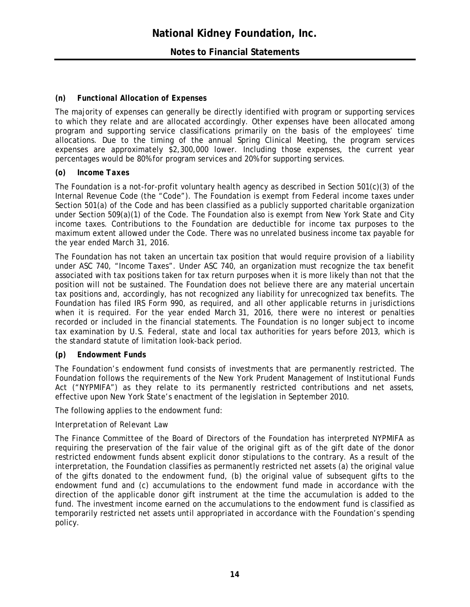## *(n) Functional Allocation of Expenses*

The majority of expenses can generally be directly identified with program or supporting services to which they relate and are allocated accordingly. Other expenses have been allocated among program and supporting service classifications primarily on the basis of the employees' time allocations. Due to the timing of the annual Spring Clinical Meeting, the program services expenses are approximately \$2,300,000 lower. Including those expenses, the current year percentages would be 80% for program services and 20% for supporting services.

#### *(o) Income Taxes*

The Foundation is a not-for-profit voluntary health agency as described in Section 501(c)(3) of the Internal Revenue Code (the "Code"). The Foundation is exempt from Federal income taxes under Section 501(a) of the Code and has been classified as a publicly supported charitable organization under Section 509(a)(1) of the Code. The Foundation also is exempt from New York State and City income taxes. Contributions to the Foundation are deductible for income tax purposes to the maximum extent allowed under the Code. There was no unrelated business income tax payable for the year ended March 31, 2016.

The Foundation has not taken an uncertain tax position that would require provision of a liability under ASC 740, "Income Taxes". Under ASC 740, an organization must recognize the tax benefit associated with tax positions taken for tax return purposes when it is more likely than not that the position will not be sustained. The Foundation does not believe there are any material uncertain tax positions and, accordingly, has not recognized any liability for unrecognized tax benefits. The Foundation has filed IRS Form 990, as required, and all other applicable returns in jurisdictions when it is required. For the year ended March 31, 2016, there were no interest or penalties recorded or included in the financial statements. The Foundation is no longer subject to income tax examination by U.S. Federal, state and local tax authorities for years before 2013, which is the standard statute of limitation look-back period.

#### *(p) Endowment Funds*

The Foundation's endowment fund consists of investments that are permanently restricted. The Foundation follows the requirements of the New York Prudent Management of Institutional Funds Act ("NYPMIFA") as they relate to its permanently restricted contributions and net assets, effective upon New York State's enactment of the legislation in September 2010.

The following applies to the endowment fund:

#### *Interpretation of Relevant Law*

The Finance Committee of the Board of Directors of the Foundation has interpreted NYPMIFA as requiring the preservation of the fair value of the original gift as of the gift date of the donor restricted endowment funds absent explicit donor stipulations to the contrary. As a result of the interpretation, the Foundation classifies as permanently restricted net assets (a) the original value of the gifts donated to the endowment fund, (b) the original value of subsequent gifts to the endowment fund and (c) accumulations to the endowment fund made in accordance with the direction of the applicable donor gift instrument at the time the accumulation is added to the fund. The investment income earned on the accumulations to the endowment fund is classified as temporarily restricted net assets until appropriated in accordance with the Foundation's spending policy.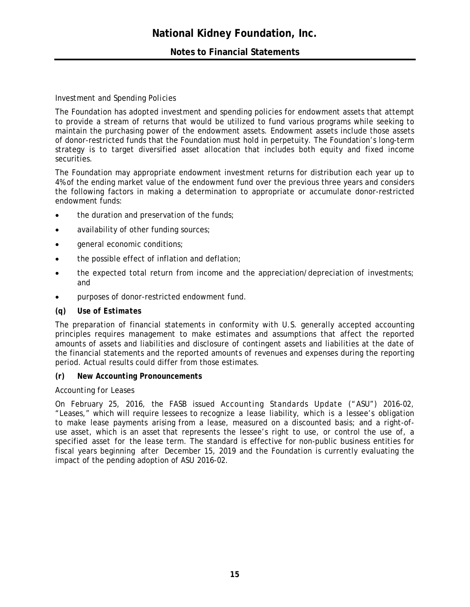#### *Investment and Spending Policies*

The Foundation has adopted investment and spending policies for endowment assets that attempt to provide a stream of returns that would be utilized to fund various programs while seeking to maintain the purchasing power of the endowment assets. Endowment assets include those assets of donor-restricted funds that the Foundation must hold in perpetuity. The Foundation's long-term strategy is to target diversified asset allocation that includes both equity and fixed income securities.

The Foundation may appropriate endowment investment returns for distribution each year up to 4% of the ending market value of the endowment fund over the previous three years and considers the following factors in making a determination to appropriate or accumulate donor-restricted endowment funds:

- the duration and preservation of the funds;
- availability of other funding sources;
- **•** general economic conditions;
- the possible effect of inflation and deflation;
- the expected total return from income and the appreciation/depreciation of investments; and
- purposes of donor-restricted endowment fund.

#### *(q) Use of Estimates*

The preparation of financial statements in conformity with U.S. generally accepted accounting principles requires management to make estimates and assumptions that affect the reported amounts of assets and liabilities and disclosure of contingent assets and liabilities at the date of the financial statements and the reported amounts of revenues and expenses during the reporting period. Actual results could differ from those estimates.

#### *(r) New Accounting Pronouncements*

#### *Accounting for Leases*

On February 25, 2016, the FASB issued Accounting Standards Update ("ASU") 2016-02, "Leases," which will require lessees to recognize a lease liability, which is a lessee's obligation to make lease payments arising from a lease, measured on a discounted basis; and a right-ofuse asset, which is an asset that represents the lessee's right to use, or control the use of, a specified asset for the lease term. The standard is effective for non-public business entities for fiscal years beginning after December 15, 2019 and the Foundation is currently evaluating the impact of the pending adoption of ASU 2016-02.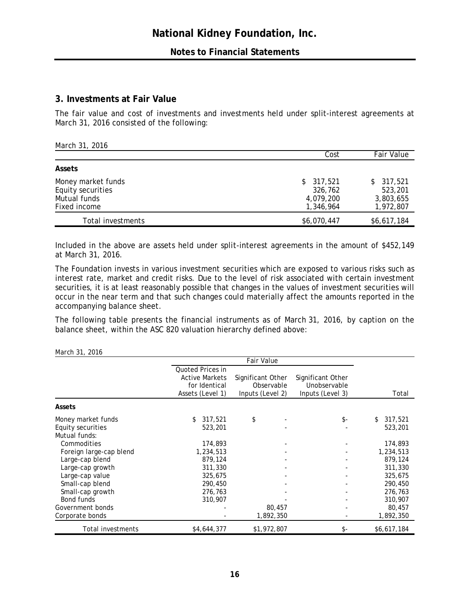#### **3. Investments at Fair Value**

The fair value and cost of investments and investments held under split-interest agreements at March 31, 2016 consisted of the following:

| March 31, 2016     |             |                   |
|--------------------|-------------|-------------------|
|                    | Cost        | <b>Fair Value</b> |
| Assets             |             |                   |
| Money market funds | \$317,521   | 317,521<br>S.     |
| Equity securities  | 326,762     | 523,201           |
| Mutual funds       | 4,079,200   | 3,803,655         |
| Fixed income       | 1,346,964   | 1,972,807         |
| Total investments  | \$6,070,447 | \$6,617,184       |

Included in the above are assets held under split-interest agreements in the amount of \$452,149 at March 31, 2016.

The Foundation invests in various investment securities which are exposed to various risks such as interest rate, market and credit risks. Due to the level of risk associated with certain investment securities, it is at least reasonably possible that changes in the values of investment securities will occur in the near term and that such changes could materially affect the amounts reported in the accompanying balance sheet.

The following table presents the financial instruments as of March 31, 2016, by caption on the balance sheet, within the ASC 820 valuation hierarchy defined above:

| 171011 UTTU 7 LUTTU     |                                                                                |                                                     |                                                       |               |
|-------------------------|--------------------------------------------------------------------------------|-----------------------------------------------------|-------------------------------------------------------|---------------|
|                         |                                                                                | <b>Fair Value</b>                                   |                                                       |               |
|                         | Quoted Prices in<br><b>Active Markets</b><br>for Identical<br>Assets (Level 1) | Significant Other<br>Observable<br>Inputs (Level 2) | Significant Other<br>Unobservable<br>Inputs (Level 3) | Total         |
| Assets                  |                                                                                |                                                     |                                                       |               |
| Money market funds      | 317,521<br>\$                                                                  | \$                                                  | \$-                                                   | 317,521<br>\$ |
| Equity securities       | 523,201                                                                        |                                                     |                                                       | 523,201       |
| Mutual funds:           |                                                                                |                                                     |                                                       |               |
| Commodities             | 174,893                                                                        |                                                     |                                                       | 174,893       |
| Foreign large-cap blend | 1,234,513                                                                      |                                                     |                                                       | 1,234,513     |
| Large-cap blend         | 879,124                                                                        |                                                     |                                                       | 879,124       |
| Large-cap growth        | 311,330                                                                        |                                                     |                                                       | 311,330       |
| Large-cap value         | 325,675                                                                        |                                                     |                                                       | 325,675       |
| Small-cap blend         | 290,450                                                                        |                                                     |                                                       | 290,450       |
| Small-cap growth        | 276,763                                                                        |                                                     |                                                       | 276,763       |
| Bond funds              | 310,907                                                                        |                                                     |                                                       | 310,907       |
| Government bonds        |                                                                                | 80,457                                              |                                                       | 80,457        |
| Corporate bonds         |                                                                                | 1,892,350                                           |                                                       | 1,892,350     |
| Total investments       | \$4,644,377                                                                    | \$1,972,807                                         | \$-                                                   | \$6,617,184   |

*March 31, 2016*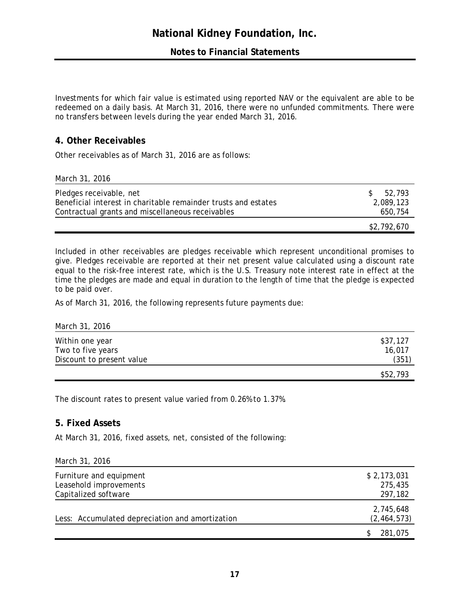# **Notes to Financial Statements**

Investments for which fair value is estimated using reported NAV or the equivalent are able to be redeemed on a daily basis. At March 31, 2016, there were no unfunded commitments. There were no transfers between levels during the year ended March 31, 2016.

## **4. Other Receivables**

Other receivables as of March 31, 2016 are as follows:

#### *March 31, 2016*

| Pledges receivable, net                                        | 52.793<br>S. |
|----------------------------------------------------------------|--------------|
| Beneficial interest in charitable remainder trusts and estates | 2,089,123    |
| Contractual grants and miscellaneous receivables               | 650,754      |
|                                                                | \$2,792,670  |

Included in other receivables are pledges receivable which represent unconditional promises to give. Pledges receivable are reported at their net present value calculated using a discount rate equal to the risk-free interest rate, which is the U.S. Treasury note interest rate in effect at the time the pledges are made and equal in duration to the length of time that the pledge is expected to be paid over.

As of March 31, 2016, the following represents future payments due:

| March 31, 2016            |          |
|---------------------------|----------|
| Within one year           | \$37,127 |
| Two to five years         | 16,017   |
| Discount to present value | (351)    |
|                           | \$52,793 |

The discount rates to present value varied from 0.26% to 1.37%.

# **5. Fixed Assets**

At March 31, 2016, fixed assets, net, consisted of the following:

*March 31, 2016* 

| Furniture and equipment                         | \$2,173,031 |
|-------------------------------------------------|-------------|
| Leasehold improvements                          | 275,435     |
| Capitalized software                            | 297,182     |
|                                                 | 2,745,648   |
| Less: Accumulated depreciation and amortization | (2,464,573) |
|                                                 | 281,075     |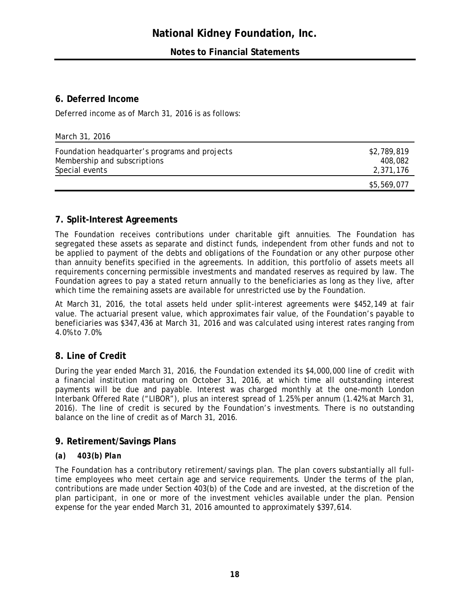# **6. Deferred Income**

Deferred income as of March 31, 2016 is as follows:

| March 31, 2016 |  |
|----------------|--|
|                |  |

| Foundation headquarter's programs and projects | \$2,789,819 |
|------------------------------------------------|-------------|
| Membership and subscriptions                   | 408,082     |
| Special events                                 | 2,371,176   |
|                                                | \$5,569,077 |

# **7. Split-Interest Agreements**

The Foundation receives contributions under charitable gift annuities. The Foundation has segregated these assets as separate and distinct funds, independent from other funds and not to be applied to payment of the debts and obligations of the Foundation or any other purpose other than annuity benefits specified in the agreements. In addition, this portfolio of assets meets all requirements concerning permissible investments and mandated reserves as required by law. The Foundation agrees to pay a stated return annually to the beneficiaries as long as they live, after which time the remaining assets are available for unrestricted use by the Foundation.

At March 31, 2016, the total assets held under split-interest agreements were \$452,149 at fair value. The actuarial present value, which approximates fair value, of the Foundation's payable to beneficiaries was \$347,436 at March 31, 2016 and was calculated using interest rates ranging from 4.0% to 7.0%.

# **8. Line of Credit**

During the year ended March 31, 2016, the Foundation extended its \$4,000,000 line of credit with a financial institution maturing on October 31, 2016, at which time all outstanding interest payments will be due and payable. Interest was charged monthly at the one-month London Interbank Offered Rate ("LIBOR"), plus an interest spread of 1.25% per annum (1.42% at March 31, 2016). The line of credit is secured by the Foundation's investments. There is no outstanding balance on the line of credit as of March 31, 2016.

# **9. Retirement/Savings Plans**

# *(a) 403(b) Plan*

The Foundation has a contributory retirement/savings plan. The plan covers substantially all fulltime employees who meet certain age and service requirements. Under the terms of the plan, contributions are made under Section 403(b) of the Code and are invested, at the discretion of the plan participant, in one or more of the investment vehicles available under the plan. Pension expense for the year ended March 31, 2016 amounted to approximately \$397,614.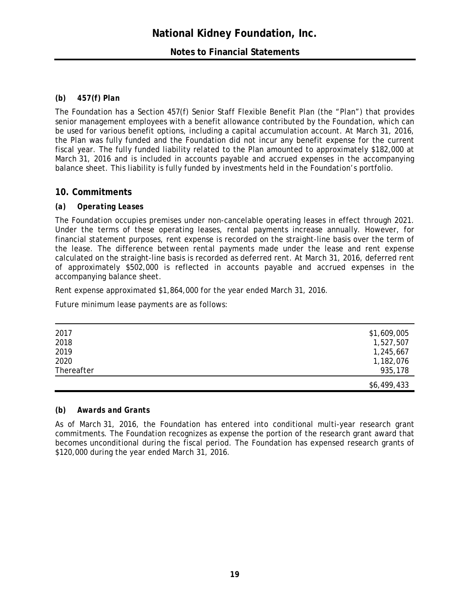## *(b) 457(f) Plan*

The Foundation has a Section 457(f) Senior Staff Flexible Benefit Plan (the "Plan") that provides senior management employees with a benefit allowance contributed by the Foundation, which can be used for various benefit options, including a capital accumulation account. At March 31, 2016, the Plan was fully funded and the Foundation did not incur any benefit expense for the current fiscal year. The fully funded liability related to the Plan amounted to approximately \$182,000 at March 31, 2016 and is included in accounts payable and accrued expenses in the accompanying balance sheet. This liability is fully funded by investments held in the Foundation's portfolio.

## **10. Commitments**

#### *(a) Operating Leases*

The Foundation occupies premises under non-cancelable operating leases in effect through 2021. Under the terms of these operating leases, rental payments increase annually. However, for financial statement purposes, rent expense is recorded on the straight-line basis over the term of the lease. The difference between rental payments made under the lease and rent expense calculated on the straight-line basis is recorded as deferred rent. At March 31, 2016, deferred rent of approximately \$502,000 is reflected in accounts payable and accrued expenses in the accompanying balance sheet.

Rent expense approximated \$1,864,000 for the year ended March 31, 2016.

Future minimum lease payments are as follows:

| 2017       | \$1,609,005 |
|------------|-------------|
| 2018       | 1,527,507   |
| 2019       | 1,245,667   |
| 2020       | 1,182,076   |
| Thereafter | 935,178     |
|            | \$6,499,433 |

#### *(b) Awards and Grants*

As of March 31, 2016, the Foundation has entered into conditional multi-year research grant commitments. The Foundation recognizes as expense the portion of the research grant award that becomes unconditional during the fiscal period. The Foundation has expensed research grants of \$120,000 during the year ended March 31, 2016.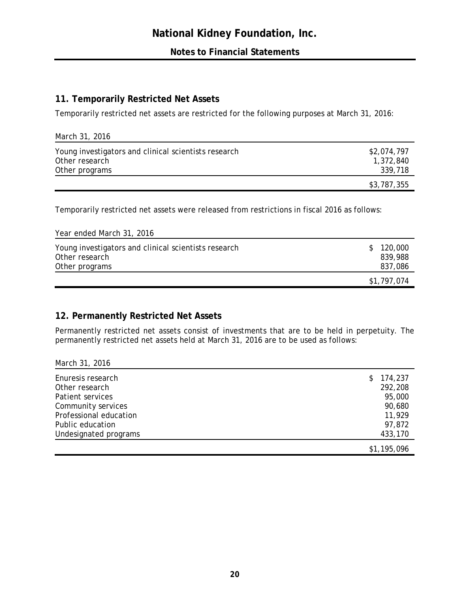# **11. Temporarily Restricted Net Assets**

Temporarily restricted net assets are restricted for the following purposes at March 31, 2016:

| March 31, 2016                                       |             |
|------------------------------------------------------|-------------|
| Young investigators and clinical scientists research | \$2,074,797 |
| Other research                                       | 1,372,840   |
| Other programs                                       | 339,718     |
|                                                      | \$3,787,355 |

Temporarily restricted net assets were released from restrictions in fiscal 2016 as follows:

| Year ended March 31, 2016                            |             |
|------------------------------------------------------|-------------|
| Young investigators and clinical scientists research | 120,000     |
| Other research                                       | 839.988     |
| Other programs                                       | 837,086     |
|                                                      | \$1,797,074 |

# **12. Permanently Restricted Net Assets**

Permanently restricted net assets consist of investments that are to be held in perpetuity. The permanently restricted net assets held at March 31, 2016 are to be used as follows:

| March 31, 2016         |             |
|------------------------|-------------|
| Enuresis research      | \$174,237   |
| Other research         | 292,208     |
| Patient services       | 95,000      |
| Community services     | 90,680      |
| Professional education | 11,929      |
| Public education       | 97,872      |
| Undesignated programs  | 433,170     |
|                        | \$1,195,096 |